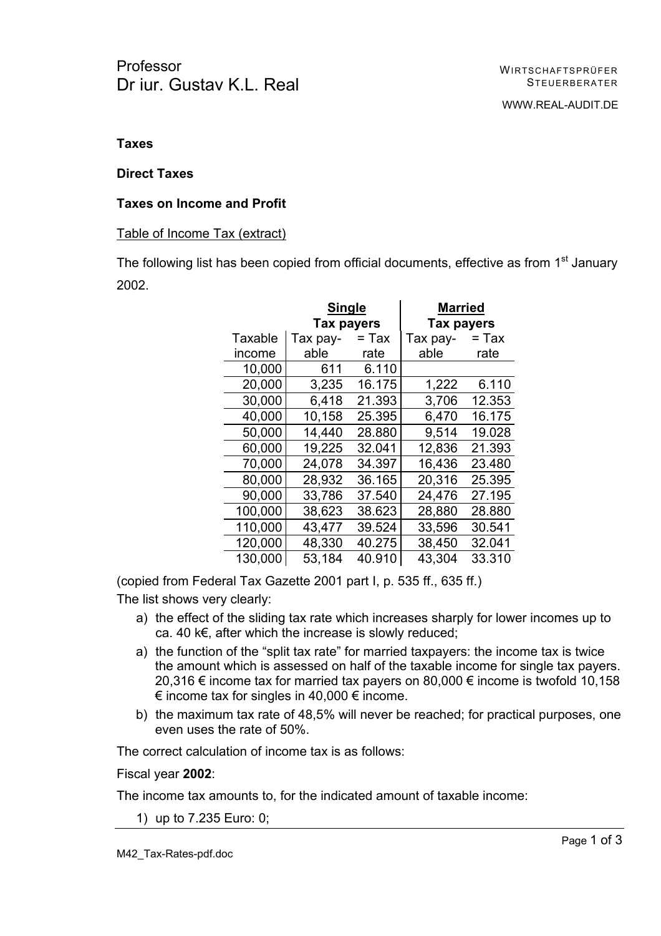# **Taxes**

### **Direct Taxes**

# **Taxes on Income and Profit**

### Table of Income Tax (extract)

The following list has been copied from official documents, effective as from 1<sup>st</sup> January 2002.

|         | Single     |        | <b>Married</b> |        |
|---------|------------|--------|----------------|--------|
|         | Tax payers |        | Tax payers     |        |
| Taxable | Tax pay-   | = Tax  | Tax pay-       | = Тах  |
| income  | able       | rate   | able           | rate   |
| 10,000  | 611        | 6.110  |                |        |
| 20,000  | 3,235      | 16.175 | 1,222          | 6.110  |
| 30,000  | 6,418      | 21.393 | 3,706          | 12.353 |
| 40,000  | 10,158     | 25.395 | 6,470          | 16.175 |
| 50,000  | 14,440     | 28.880 | 9,514          | 19.028 |
| 60,000  | 19,225     | 32.041 | 12,836         | 21.393 |
| 70,000  | 24,078     | 34.397 | 16,436         | 23.480 |
| 80,000  | 28,932     | 36.165 | 20,316         | 25.395 |
| 90,000  | 33,786     | 37.540 | 24,476         | 27.195 |
| 100,000 | 38,623     | 38.623 | 28,880         | 28.880 |
| 110,000 | 43,477     | 39.524 | 33,596         | 30.541 |
| 120,000 | 48,330     | 40.275 | 38,450         | 32.041 |
| 130,000 | 53,184     | 40.910 | 43,304         | 33.310 |

(copied from Federal Tax Gazette 2001 part I, p. 535 ff., 635 ff.)

The list shows very clearly:

- a) the effect of the sliding tax rate which increases sharply for lower incomes up to ca. 40 k€, after which the increase is slowly reduced;
- a) the function of the "split tax rate" for married taxpayers: the income tax is twice the amount which is assessed on half of the taxable income for single tax payers. 20,316 € income tax for married tax payers on 80,000 € income is twofold 10,158  $€$  income tax for singles in 40,000  $€$  income.
- b) the maximum tax rate of 48,5% will never be reached; for practical purposes, one even uses the rate of 50%.

The correct calculation of income tax is as follows:

Fiscal year **2002**:

The income tax amounts to, for the indicated amount of taxable income:

1) up to 7.235 Euro: 0;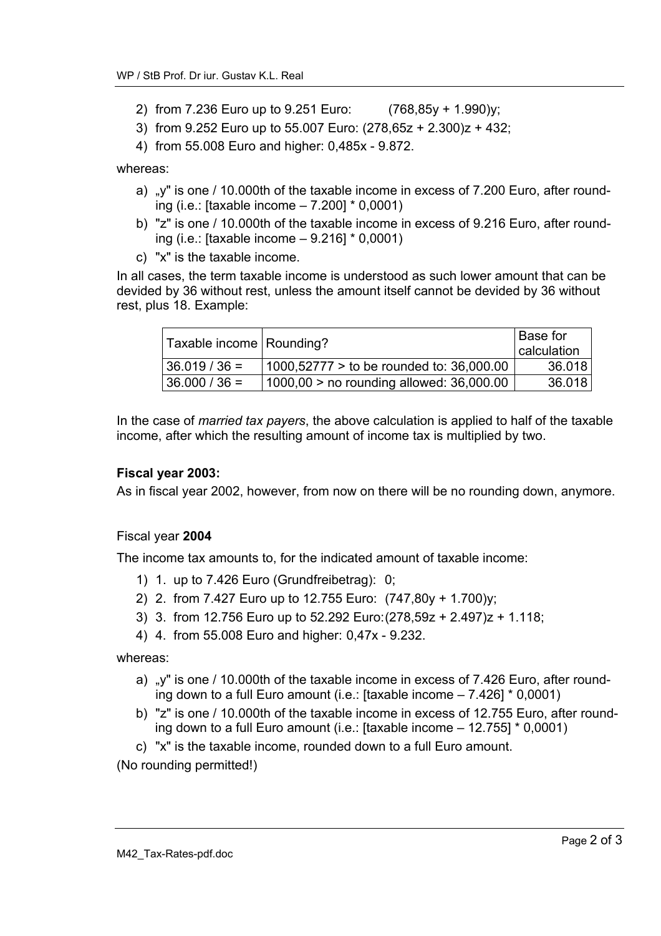- 2) from 7.236 Euro up to 9.251 Euro: (768,85y + 1.990)y;
- 3) from 9.252 Euro up to 55.007 Euro: (278,65z + 2.300)z + 432;
- 4) from 55.008 Euro and higher: 0,485x 9.872.

whereas:

- a) "y" is one / 10.000th of the taxable income in excess of 7.200 Euro, after rounding (i.e.: [taxable income – 7.200] \* 0,0001)
- b) "z" is one / 10.000th of the taxable income in excess of 9.216 Euro, after rounding (i.e.: [taxable income – 9.216] \* 0,0001)
- c) "x" is the taxable income.

In all cases, the term taxable income is understood as such lower amount that can be devided by 36 without rest, unless the amount itself cannot be devided by 36 without rest, plus 18. Example:

| Taxable income   Rounding? |                                            | <b>Base for</b><br>calculation |
|----------------------------|--------------------------------------------|--------------------------------|
| $ 36.019/36 =$             | $1000,52777 >$ to be rounded to: 36,000.00 | 36.018                         |
| $36.000 / 36 =$            | $1000,00$ > no rounding allowed: 36,000.00 | 36.018                         |

In the case of *married tax payers*, the above calculation is applied to half of the taxable income, after which the resulting amount of income tax is multiplied by two.

### **Fiscal year 2003:**

As in fiscal year 2002, however, from now on there will be no rounding down, anymore.

#### Fiscal year **2004**

The income tax amounts to, for the indicated amount of taxable income:

- 1) 1. up to 7.426 Euro (Grundfreibetrag): 0;
- 2) 2. from 7.427 Euro up to 12.755 Euro: (747,80y + 1.700)y;
- 3) 3. from 12.756 Euro up to 52.292 Euro: (278,59z + 2.497)z + 1.118;
- 4) 4. from 55.008 Euro and higher: 0,47x 9.232.

whereas:

- a) "y" is one / 10.000th of the taxable income in excess of 7.426 Euro, after rounding down to a full Euro amount (i.e.: [taxable income – 7.426] \* 0,0001)
- b) "z" is one / 10.000th of the taxable income in excess of 12.755 Euro, after rounding down to a full Euro amount (i.e.: [taxable income – 12.755] \* 0,0001)
- c) "x" is the taxable income, rounded down to a full Euro amount.

(No rounding permitted!)